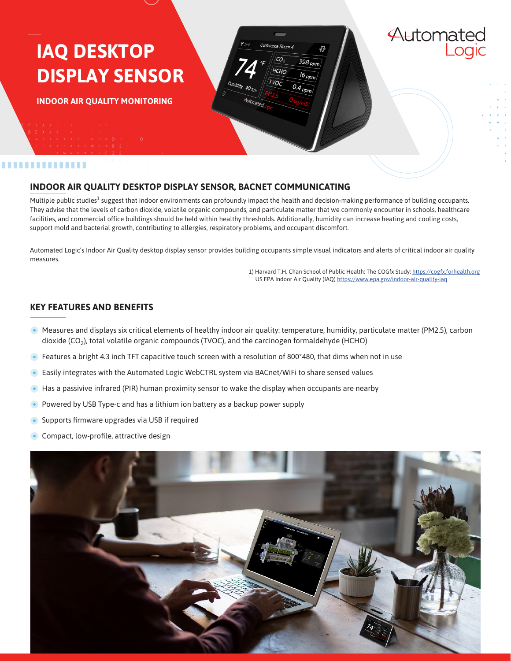# **IAQ DESKTOP DISPLAY SENSOR**

**INDOOR AIR QUALITY MONITORING**

#### ..............

### **INDOOR AIR QUALITY DESKTOP DISPLAY SENSOR, BACNET COMMUNICATING**

Multiple public studies<sup>1</sup> suggest that indoor environments can profoundly impact the health and decision-making performance of building occupants. They advise that the levels of carbon dioxide, volatile organic compounds, and particulate matter that we commonly encounter in schools, healthcare facilities, and commercial office buildings should be held within healthy thresholds. Additionally, humidity can increase heating and cooling costs, support mold and bacterial growth, contributing to allergies, respiratory problems, and occupant discomfort.

 $398<sub>nn</sub>$ 

 $\overline{16_{ppn}}$ 

 $0.4_{ppm}$ 

HCHO

<sup>r</sup>Vor

Automated Logic's Indoor Air Quality desktop display sensor provides building occupants simple visual indicators and alerts of critical indoor air quality measures.

> 1) Harvard T.H. Chan School of Public Health; The COGfx Study:<https://cogfx.forhealth.org> US EPA Indoor Air Quality (IAQ) <https://www.epa.gov/indoor-air-quality-iaq>

Automated

#### **KEY FEATURES AND BENEFITS**

- Measures and displays six critical elements of healthy indoor air quality: temperature, humidity, particulate matter (PM2.5), carbon dioxide (CO<sub>2</sub>), total volatile organic compounds (TVOC), and the carcinogen formaldehyde (HCHO)
- **•** Features a bright 4.3 inch TFT capacitive touch screen with a resolution of 800\*480, that dims when not in use
- Easily integrates with the Automated Logic WebCTRL system via BACnet/WiFi to share sensed values
- $\bullet$  Has a passivive infrared (PIR) human proximity sensor to wake the display when occupants are nearby
- Powered by USB Type-c and has a lithium ion battery as a backup power supply
- Supports firmware upgrades via USB if required
- Compact, low-profile, attractive design